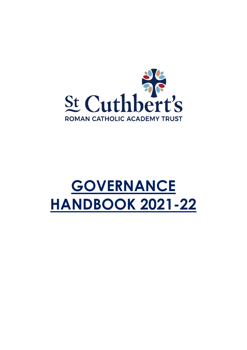

# **GOVERNANCE HANDBOOK 2021-22**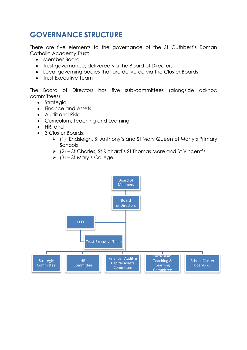# **GOVERNANCE STRUCTURE**

There are five elements to the governance of the St Cuthbert's Roman Catholic Academy Trust:

- Member Board
- Trust governance, delivered via the Board of Directors
- Local governing bodies that are delivered via the Cluster Boards
- Trust Executive Team

The Board of Directors has five sub-committees (alongside ad-hoc committees):

- Strategic
- Finance and Assets
- Audit and Risk
- Curriculum, Teaching and Learning
- HR; and
- 3 Cluster Boards:
	- (1) Endsleigh, St Anthony's and St Mary Queen of Martyrs Primary Schools
	- (2) St Charles, St Richard's St Thomas More and St Vincent's
	- $\geq$  (3) St Mary's College.

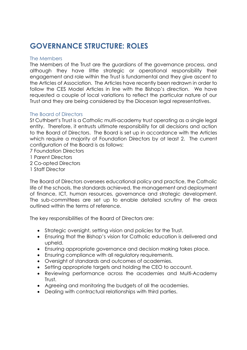# **GOVERNANCE STRUCTURE: ROLES**

# The Members

The Members of the Trust are the guardians of the governance process, and although they have little strategic or operational responsibility their engagement and role within the Trust is fundamental and they give ascent to the Articles of Association. The Articles have recently been redrawn in order to follow the CES Model Articles in line with the Bishop's direction. We have requested a couple of local variations to reflect the particular nature of our Trust and they are being considered by the Diocesan legal representatives.

# The Board of Directors

St Cuthbert's Trust is a Catholic multi-academy trust operating as a single legal entity. Therefore, it entrusts ultimate responsibility for all decisions and action to the Board of Directors. The Board is set up in accordance with the Articles which require a majority of Foundation Directors by at least 2. The current configuration of the Board is as follows:

- 7 Foundation Directors
- 1 Parent Directors
- 2 Co-opted Directors
- 1 Staff Director

The Board of Directors oversees educational policy and practice, the Catholic life of the schools, the standards achieved, the management and deployment of finance, ICT, human resources, governance and strategic development. The sub-committees are set up to enable detailed scrutiny of the areas outlined within the terms of reference.

The key responsibilities of the Board of Directors are:

- Strategic oversight, setting vision and policies for the Trust.
- Ensuring that the Bishop's vision for Catholic education is delivered and upheld.
- Ensuring appropriate governance and decision making takes place.
- Ensuring compliance with all regulatory requirements.
- Oversight of standards and outcomes of academies.
- Setting appropriate targets and holding the CEO to account.
- Reviewing performance across the academies and Multi-Academy Trust.
- Agreeing and monitoring the budgets of all the academies.
- Dealing with contractual relationships with third parties.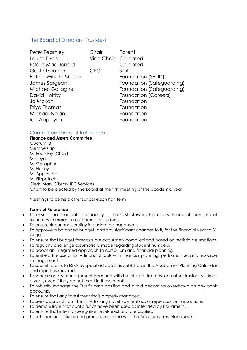# The Board of Directors (Trustees)

| Peter Fearnley               | Chair               | Parent                      |
|------------------------------|---------------------|-----------------------------|
| Louise Dyas                  | Vice Chair Co-opted |                             |
| <b>Estelle MacDonald</b>     |                     | Co-opted                    |
| <b>Ged Fitzpatrick</b>       | CEO                 | Staff                       |
| <b>Father William Massie</b> |                     | Foundation (SEND)           |
| James Sargeant               |                     | Foundation (Safeguarding)   |
| Michael Gallagher            |                     | Foundation (Safeguarding)   |
| David Holtby                 |                     | <b>Foundation (Careers)</b> |
| Jo Moxon                     |                     | Foundation                  |
| Priya Thomas                 |                     | Foundation                  |
| Michael Nolan                |                     | Foundation                  |
| Ian Appleyard                |                     | Foundation                  |

# Committee Terms of Reference

**Finance and Assets Committee** Quorum: 3 Membership Mr Fearnley (Chair) Mrs Dyas Mr Gallagher Mr Holtby Mr Appleyard Mr Fitzpatrick Clerk: Mary Gibson, IPC Services Chair: to be elected by the Board at the first meeting of the academic year

Meetings to be held after school each half term

#### **Terms of Reference**

- To ensure the financial sustainability of the Trust, stewardship of assets and efficient use of resources to maximise outcomes for students.
- To ensure rigour and scrutiny in budget management.
- To approve a balanced budget, and any significant changes to it, for the financial year to 31 August.
- To ensure that budget forecasts are accurately compiled and based on realistic assumptions.
- To regularly challenge assumptions made regarding student numbers.
- To adopt an integrated approach to curriculum and financial planning.
- To embed the use of ESFA financial tools with financial planning, performance, and resource management.
- To submit returns to ESFA by specified dates as published in the Academies Planning Calendar and report as required.
- To share monthly management accounts with the chair of trustees, and other trustees six times a year, even if they do not meet in those months.
- To robustly manage the Trust's cash position and avoid becoming overdrawn on any bank accounts.
- To ensure that any investment risk is properly managed.
- To seek approval from the ESFA for any novel, contentious or repercussive transactions.
- To demonstrate that public funds have been used as intended by Parliament.
- To ensure that internal delegation levels exist and are applied.
- To set financial policies and procedures in line with the Academy Trust Handbook.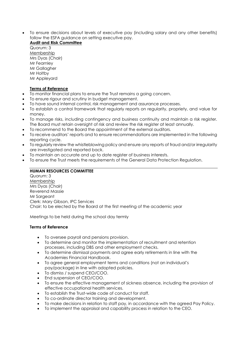• To ensure decisions about levels of executive pay (including salary and any other benefits) follow the ESFA guidance on setting executive pay.

# **Audit and Risk Committee**

Quorum: 3 **Membership** Mrs Dyas (Chair) Mr Fearnley Mr Gallagher Mr Holtby Mr Appleyard

#### **Terms of Reference**

- To monitor financial plans to ensure the Trust remains a going concern.
- To ensure rigour and scrutiny in budget management.
- To have sound internal control, risk management and assurance processes.
- To establish a control framework that regularly reports on regularity, propriety, and value for money.
- To manage risks, including contingency and business continuity and maintain a risk register. The Board must retain oversight of risk and review the risk register at least annually.
- To recommend to the Board the appointment of the external auditors.
- To receive auditors' reports and to ensure recommendations are implemented in the following reporting cycle.
- To regularly review the whistleblowing policy and ensure any reports of fraud and/or irregularity are investigated and reported back.
- To maintain an accurate and up to date register of business interests.
- To ensure the Trust meets the requirements of the General Data Protection Regulation.

#### **HUMAN RESOURCES COMMITTEE**

Quorum: 3 Membership Mrs Dyas (Chair) Reverend Massie Mr Sargeant Clerk: Mary Gibson, IPC Services Chair: to be elected by the Board at the first meeting of the academic year

Meetings to be held during the school day termly

#### **Terms of Reference**

- To oversee payroll and pensions provision.
- To determine and monitor the implementation of recruitment and retention processes, including DBS and other employment checks.
- To determine dismissal payments and agree early retirements in line with the Academies Financial Handbook.
- To agree general employment terms and conditions (not an individual's pay/package) in line with adopted policies.
- To dismiss / suspend CEO/COO.
- End suspension of CEO/COO.
- To ensure the effective management of sickness absence, including the provision of effective occupational health services.
- To establish the Trust-wide code of conduct for staff.
- To co-ordinate director training and development.
- To make decisions in relation to staff pay, in accordance with the agreed Pay Policy.
- To implement the appraisal and capability process in relation to the CEO.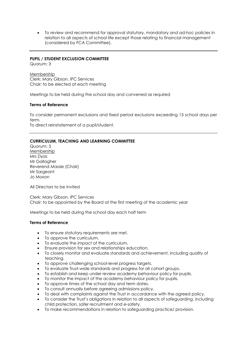• To review and recommend for approval statutory, mandatory and ad-hoc policies in relation to all aspects of school life except those relating to financial management (considered by FCA Committee).

#### **PUPIL / STUDENT EXCLUSION COMMITTEE**

Quorum: 3

Membership Clerk: Mary Gibson, IPC Services Chair: to be elected at each meeting

Meetings to be held during the school day and convened as required

#### **Terms of Reference**

To consider permanent exclusions and fixed period exclusions exceeding 15 school days per term.

To direct reinstatement of a pupil/student.

#### **CURRICULUM, TEACHING AND LEARNING COMMITTEE**

Quorum: 3 Membership Mrs Dyas Mr Gallagher Reverend Massie (Chair) Mr Saraeant Jo Moxon

All Directors to be invited

Clerk: Mary Gibson, IPC Services Chair: to be appointed by the Board at the first meeting of the academic year

Meetings to be held during the school day each half term

#### **Terms of Reference**

- To ensure statutory requirements are met.
- To approve the curriculum.
- To evaluate the impact of the curriculum.
- Ensure provision for sex and relationships education.
- To closely monitor and evaluate standards and achievement, including quality of teaching.
- To approve challenging school-level progress targets.
- To evaluate Trust-wide standards and progress for all cohort groups.
- To establish and keep under review academy behaviour policy for pupils.
- To monitor the impact of the academy behaviour policy for pupils.
- To approve times of the school day and term dates.
- To consult annually before agreeing admissions policy.
- To deal with complaints against the Trust in accordance with the agreed policy.
- To consider the Trust's obligations in relation to all aspects of safeguarding, including child protection, safer recruitment and e-safety.
- To make recommendations in relation to safeguarding practice/ provision.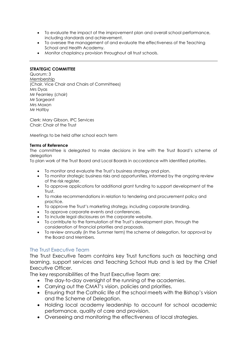- To evaluate the impact of the improvement plan and overall school performance, including standards and achievement.
- To oversee the management of and evaluate the effectiveness of the Teaching School and Health Academy.
- Monitor chaplaincy provision throughout all trust schools.

#### **STRATEGIC COMMITTEE**

Quorum: 3 Membership (Chair, Vice Chair and Chairs of Committees) Mrs Dyas Mr Fearnley (chair) Mr Saraeant Mrs Moxon Mr Holtby

Clerk: Mary Gibson, IPC Services Chair: Chair of the Trust

Meetings to be held after school each term

#### **Terms of Reference**

The committee is delegated to make decisions in line with the Trust Board's scheme of delegation

To plan work of the Trust Board and Local Boards in accordance with identified priorities.

- To monitor and evaluate the Trust's business strategy and plan.
- To monitor strategic business risks and opportunities, informed by the ongoing review of the risk register.
- To approve applications for additional grant funding to support development of the Trust.
- To make recommendations in relation to tendering and procurement policy and practice.
- To approve the Trust's marketing strategy, including corporate branding.
- To approve corporate events and conferences.
- To include legal disclosures on the corporate website.
- To contribute to the formulation of the Trust's development plan, through the consideration of financial priorities and proposals.
- To review annually (in the Summer term) the scheme of delegation, for approval by the Board and Members.

# The Trust Executive Team

The Trust Executive Team contains key Trust functions such as teaching and learning, support services and Teaching School Hub and is led by the Chief Executive Officer.

The key responsibilities of the Trust Executive Team are:

- The day-to-day oversight of the running of the academies.
- Carrying out the CMAT's vision, policies and priorities.
- Ensuring that the Catholic life of the school meets with the Bishop's vision and the Scheme of Delegation.
- Holding local academy leadership to account for school academic performance, quality of care and provision.
- Overseeing and monitoring the effectiveness of local strategies.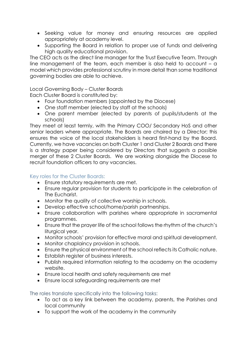- Seeking value for money and ensuring resources are applied appropriately at academy level.
- Supporting the Board in relation to proper use of funds and delivering high quality educational provision.

The CEO acts as the direct line manager for the Trust Executive Team. Through line management of the team, each member is also held to account – a model which provides professional scrutiny in more detail than some traditional governing bodies are able to achieve.

Local Governing Body – Cluster Boards

Each Cluster Board is constituted by:

- Four foundation members (appointed by the Diocese)
- One staff member (elected by staff at the schools)
- One parent member (elected by parents of pupils/students at the schools)

They meet at least termly, with the Primary COO/ Secondary HoS and other senior leaders where appropriate. The Boards are chaired by a Director; this ensures the voice of the local stakeholders is heard first-hand by the Board. Currently, we have vacancies on both Cluster 1 and Cluster 2 Boards and there is a strategy paper being considered by Directors that suggests a possible merger of these 2 Cluster Boards. We are working alongside the Diocese to recruit foundation officers to any vacancies.

# Key roles for the Cluster Boards:

- Ensure statutory requirements are met.
- Ensure regular provision for students to participate in the celebration of The Eucharist.
- Monitor the quality of collective worship in schools.
- Develop effective school/home/parish partnerships.
- Ensure collaboration with parishes where appropriate in sacramental programmes.
- Ensure that the prayer life of the school follows the rhythm of the church's liturgical year.
- Monitor schools' provision for effective moral and spiritual development.
- Monitor chaplaincy provision in schools.
- Ensure the physical environment of the school reflects its Catholic nature.
- Establish register of business interests.
- Publish required information relating to the academy on the academy website.
- Ensure local health and safety requirements are met
- Ensure local safeguarding requirements are met

# The roles translate specifically into the following tasks:

- To act as a key link between the academy, parents, the Parishes and local community
- To support the work of the academy in the community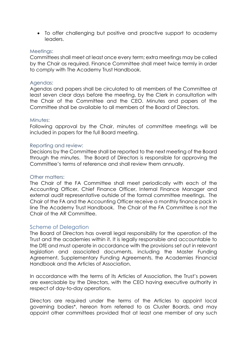• To offer challenging but positive and proactive support to academy leaders.

# Meetings:

Committees shall meet at least once every term; extra meetings may be called by the Chair as required. Finance Committee shall meet twice termly in order to comply with The Academy Trust Handbook.

# Agendas:

Agendas and papers shall be circulated to all members of the Committee at least seven clear days before the meeting, by the Clerk in consultation with the Chair of the Committee and the CEO. Minutes and papers of the Committee shall be available to all members of the Board of Directors.

# Minutes:

Following approval by the Chair, minutes of committee meetings will be included in papers for the full Board meeting.

# Reporting and review:

Decisions by the Committee shall be reported to the next meeting of the Board through the minutes. The Board of Directors is responsible for approving the Committee's terms of reference and shall review them annually.

# Other matters:

The Chair of the FA Committee shall meet periodically with each of the Accounting Officer, Chief Finance Officer, Internal Finance Manager and external audit representative outside of the formal committee meetings. The Chair of the FA and the Accounting Officer receive a monthly finance pack in line The Academy Trust Handbook. The Chair of the FA Committee is not the Chair of the AR Committee.

# Scheme of Delegation

The Board of Directors has overall legal responsibility for the operation of the Trust and the academies within it. It is legally responsible and accountable to the DfE and must operate in accordance with the provisions set out in relevant legislation and associated documents, including the Master Funding Agreement, Supplementary Funding Agreements, the Academies Financial Handbook and the Articles of Association.

In accordance with the terms of its Articles of Association, the Trust's powers are exercisable by the Directors, with the CEO having executive authority in respect of day-to-day operations.

Directors are required under the terms of the Articles to appoint local governing bodies\*, hereon from referred to as Cluster Boards, and may appoint other committees provided that at least one member of any such